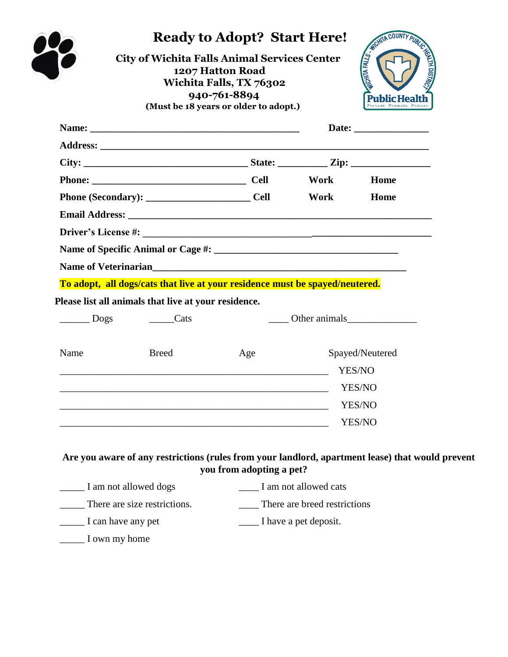|                          | <b>City of Wichita Falls Animal Services Center</b>                          | 1207 Hatton Road<br>Wichita Falls, TX 76302<br>940-761-8894<br>(Must be 18 years or older to adopt.) |      | <b>ANTIFACTOR AND REAL PROPERTY</b><br><b>STATIS IS TARGET</b><br>blic Health |
|--------------------------|------------------------------------------------------------------------------|------------------------------------------------------------------------------------------------------|------|-------------------------------------------------------------------------------|
|                          |                                                                              |                                                                                                      |      |                                                                               |
|                          |                                                                              |                                                                                                      |      |                                                                               |
|                          |                                                                              |                                                                                                      |      |                                                                               |
|                          | Phone: Cell Work                                                             |                                                                                                      |      | Home                                                                          |
|                          |                                                                              |                                                                                                      | Work | Home                                                                          |
|                          |                                                                              |                                                                                                      |      |                                                                               |
|                          |                                                                              |                                                                                                      |      |                                                                               |
|                          |                                                                              |                                                                                                      |      |                                                                               |
|                          |                                                                              |                                                                                                      |      |                                                                               |
|                          | To adopt, all dogs/cats that live at your residence must be spayed/neutered. |                                                                                                      |      |                                                                               |
|                          | Please list all animals that live at your residence.                         |                                                                                                      |      |                                                                               |
| $\overline{\qquad}$ Dogs | $\frac{\ }{}$ Cats                                                           | Other animals                                                                                        |      |                                                                               |
| Name                     | <b>Breed</b>                                                                 | Age                                                                                                  |      | Spayed/Neutered                                                               |
|                          |                                                                              |                                                                                                      |      | YES/NO                                                                        |
|                          |                                                                              |                                                                                                      |      | YES/NO                                                                        |
|                          |                                                                              |                                                                                                      |      | YES/NO                                                                        |
|                          |                                                                              |                                                                                                      |      | YES/NO                                                                        |
|                          |                                                                              |                                                                                                      |      |                                                                               |

| I am not allowed dogs        | I am not allowed cats        |  |  |
|------------------------------|------------------------------|--|--|
| There are size restrictions. | There are breed restrictions |  |  |
| I can have any pet           | I have a pet deposit.        |  |  |
| I own my home                |                              |  |  |